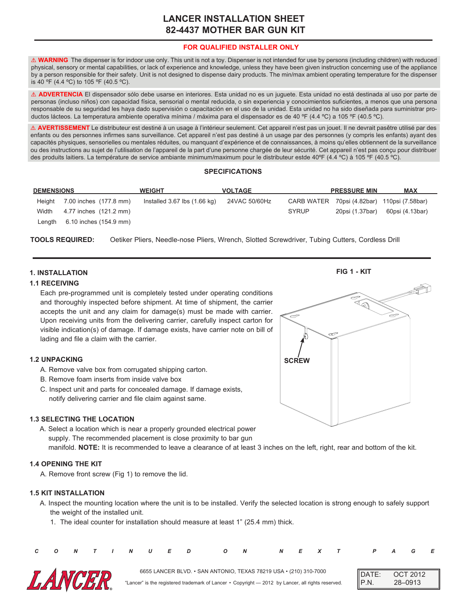# **LANCER INSTALLATION SHEET 82-4437 MOTHER BAR GUN KIT**

# **FOR QUALIFIED INSTALLER ONLY**

! **WARNING** The dispenser is for indoor use only. This unit is not a toy. Dispenser is not intended for use by persons (including children) with reduced physical, sensory or mental capabilities, or lack of experience and knowledge, unless they have been given instruction concerning use of the appliance by a person responsible for their safety. Unit is not designed to dispense dairy products. The min/max ambient operating temperature for the dispenser is 40 ºF (4.4 ºC) to 105 ºF (40.5 ºC).

! **ADVERTENCIA** El dispensador sólo debe usarse en interiores. Esta unidad no es un juguete. Esta unidad no está destinada al uso por parte de personas (incluso niños) con capacidad física, sensorial o mental reducida, o sin experiencia y conocimientos suficientes, a menos que una persona responsable de su seguridad les haya dado supervisión o capacitación en el uso de la unidad. Esta unidad no ha sido diseñada para suministrar productos lácteos. La temperatura ambiente operativa mínima / máxima para el dispensador es de 40 ºF (4.4 ºC) a 105 ºF (40.5 ºC).

! **AVERTISSEMENT** Le distributeur est destiné à un usage à l'intérieur seulement. Cet appareil n'est pas un jouet. Il ne devrait pasêtre utilisé par des enfants ou des personnes infirmes sans surveillance. Cet appareil n'est pas destiné à un usage par des personnes (y compris les enfants) ayant des capacités physiques, sensorielles ou mentales réduites, ou manquant d'expérience et de connaissances, à moins qu'elles obtiennent de la surveillance ou des instructions au sujet de l'utilisation de l'appareil de la part d'une personne chargée de leur sécurité. Cet appareil n'est pas conçu pour distribuer des produits laitiers. La température de service ambiante minimum/maximum pour le distributeur estde 40ºF (4.4 ºC) à 105 ºF (40.5 ºC).

#### **SPECIFICATIONS**

| <b>DEMENSIONS</b> |                        | <b>WEIGHT</b>                    | <b>VOLTAGE</b> |       | <b>PRESSURE MIN</b> | <b>MAX</b>                                  |  |
|-------------------|------------------------|----------------------------------|----------------|-------|---------------------|---------------------------------------------|--|
| Height            | 7.00 inches (177.8 mm) | Installed $3.67$ lbs $(1.66$ kg) | 24VAC 50/60Hz  |       |                     | CARB WATER 70psi (4.82bar) 110psi (7.58bar) |  |
| Width             | 4.77 inches (121.2 mm) |                                  |                | SYRUP | 20psi (1.37bar)     | 60psi (4.13bar)                             |  |
| ∟enqth            | 6.10 inches (154.9 mm) |                                  |                |       |                     |                                             |  |

**TOOLS REQUIRED:** Oetiker Pliers, Needle-nose Pliers, Wrench, Slotted Screwdriver, Tubing Cutters, Cordless Drill

#### **1. INSTALLATION**

#### **1.1 RECEIVING**

Each pre-programmed unit is completely tested under operating conditions and thoroughly inspected before shipment. At time of shipment, the carrier accepts the unit and any claim for damage(s) must be made with carrier. Upon receiving units from the delivering carrier, carefully inspect carton for visible indication(s) of damage. If damage exists, have carrier note on bill of lading and file a claim with the carrier.

#### **1.2 UNPACKING**

- A. Remove valve box from corrugated shipping carton.
- B. Remove foam inserts from inside valve box
- C. Inspect unit and parts for concealed damage. If damage exists, notify delivering carrier and file claim against same.

#### **1.3 SELECTING THE LOCATION**

A. Select a location which is near a properly grounded electrical power supply. The recommended placement is close proximity to bar gun manifold. **NOTE:** It is recommended to leave a clearance of at least 3 inches on the left, right, rear and bottom of the kit.

#### **1.4 OPENING THE KIT**

A. Remove front screw (Fig 1) to remove the lid.

### **1.5 KIT INSTALLATION**

- A. Inspect the mounting location where the unit is to be installed. Verify the selected location is strong enough to safely support the weight of the installed unit.
	- 1. The ideal counter for installation should measure at least 1" (25.4 mm) thick.

| C O N T I N U E D |  |  |  | ON NEXT PAGE                                                                                                                                                           |  |  |                  |                   |                            |  |
|-------------------|--|--|--|------------------------------------------------------------------------------------------------------------------------------------------------------------------------|--|--|------------------|-------------------|----------------------------|--|
| <b>LANCER</b>     |  |  |  | 6655 LANCER BLVD. • SAN ANTONIO, TEXAS 78219 USA • (210) 310-7000<br>"Lancer" is the registered trademark of Lancer • Copyright — 2012 by Lancer, all rights reserved. |  |  | $\parallel$ P.N. | $\mathsf{DATE}$ : | <b>OCT 2012</b><br>28–0913 |  |



**FIG 1 - KIT**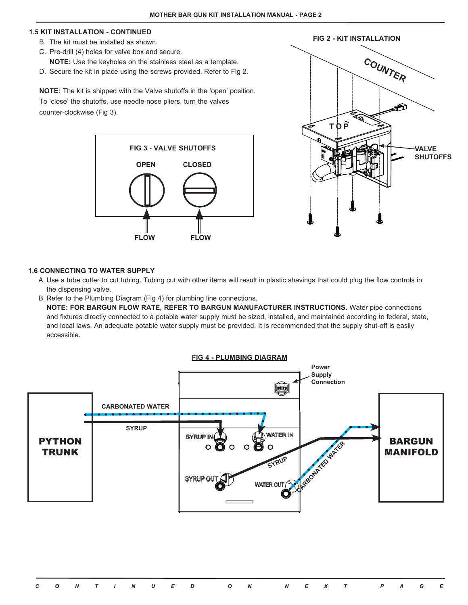#### **1.5 KIT INSTALLATION - CONTINUED**

- B. The kit must be installed as shown.
- C. Pre-drill (4) holes for valve box and secure. **NOTE:** Use the keyholes on the stainless steel as a template.
- D. Secure the kit in place using the screws provided. Refer to Fig 2.

**NOTE:** The kit is shipped with the Valve shutoffs in the 'open' position. To 'close' the shutoffs, use needle-nose pliers, turn the valves counter-clockwise (Fig 3).





#### **1.6 CONNECTING TO WATER SUPPLY**

- A. Use a tube cutter to cut tubing. Tubing cut with other items will result in plastic shavings that could plug the flow controls in the dispensing valve.
- B. Refer to the Plumbing Diagram (Fig 4) for plumbing line connections.

**NOTE: FOR BARGUN FLOW RATE, REFER TO BARGUN MANUFACTURER INSTRUCTIONS.** Water pipe connections and fixtures directly connected to a potable water supply must be sized, installed, and maintained according to federal, state, and local laws. An adequate potable water supply must be provided. It is recommended that the supply shut-off is easily accessible.

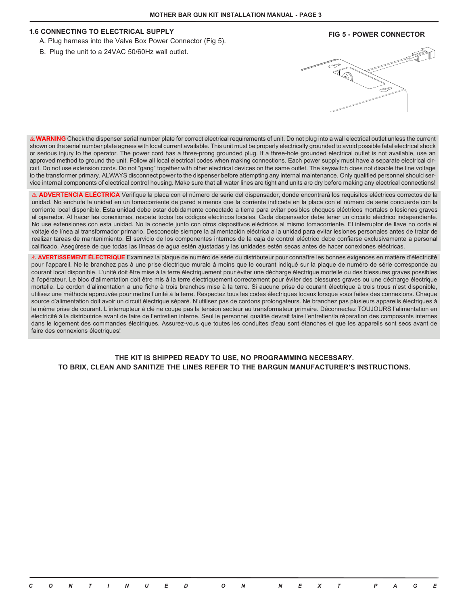#### **1.6 CONNECTING TO ELECTRICAL SUPPLY**

- A. Plug harness into the Valve Box Power Connector (Fig 5).
- B. Plug the unit to a 24VAC 50/60Hz wall outlet.

### **FIG 5 - POWER CONNECTOR**



A WARNING Check the dispenser serial number plate for correct electrical requirements of unit. Do not plug into a wall electrical outlet unless the current shown on the serial number plate agrees with local current available. This unit must be properly electrically grounded to avoid possible fatal electrical shock or serious injury to the operator. The power cord has a three-prong grounded plug. If a three-hole grounded electrical outlet is not available, use an approved method to ground the unit. Follow all local electrical codes when making connections. Each power supply must have a separate electrical circuit. Do not use extension cords. Do not "gang" together with other electrical devices on the same outlet. The keyswitch does not disable the line voltage to the transformer primary. ALWAYS disconnect power to the dispenser before attempting any internal maintenance. Only qualified personnel should service internal components of electrical control housing. Make sure that all water lines are tight and units are dry before making any electrical connections!

! **ADVERTENCIA ELÉCTRICA** Verifique la placa con el número de serie del dispensador, donde encontrará los requisitos eléctricos correctos de la unidad. No enchufe la unidad en un tomacorriente de pared a menos que la corriente indicada en la placa con el número de serie concuerde con la corriente local disponible. Esta unidad debe estar debidamente conectado a tierra para evitar posibles choques eléctricos mortales o lesiones graves al operador. Al hacer las conexiones, respete todos los códigos eléctricos locales. Cada dispensador debe tener un circuito eléctrico independiente. No use extensiones con esta unidad. No la conecte junto con otros dispositivos eléctricos al mismo tomacorriente. El interruptor de llave no corta el voltaje de línea al transformador primario. Desconecte siempre la alimentación eléctrica a la unidad para evitar lesiones personales antes de tratar de realizar tareas de mantenimiento. El servicio de los componentes internos de la caja de control eléctrico debe confiarse exclusivamente a personal calificado. Asegúrese de que todas las líneas de agua estén ajustadas y las unidades estén secas antes de hacer conexiones eléctricas.

! **AVERTISSEMENT ÉLECTRIQUE** Examinez la plaque de numéro de série du distributeur pour connaître les bonnes exigences en matière d'électricité pour l'appareil. Ne le branchez pas à une prise électrique murale à moins que le courant indiqué sur la plaque de numéro de série corresponde au courant local disponible. L'unité doit être mise à la terre électriquement pour éviter une décharge électrique mortelle ou des blessures graves possibles à l'opérateur. Le bloc d'alimentation doit être mis à la terre électriquement correctement pour éviter des blessures graves ou une décharge électrique mortelle. Le cordon d'alimentation a une fiche à trois branches mise à la terre. Si aucune prise de courant électrique à trois trous n'est disponible, utilisez une méthode approuvée pour mettre l'unité à la terre. Respectez tous les codes électriques locaux lorsque vous faites des connexions. Chaque source d'alimentation doit avoir un circuit électrique séparé. N'utilisez pas de cordons prolongateurs. Ne branchez pas plusieurs appareils électriques à la même prise de courant. L'interrupteur à clé ne coupe pas la tension secteur au transformateur primaire. Déconnectez TOUJOURS l'alimentation en électricité à la distributrice avant de faire de l'entretien interne. Seul le personnel qualifié devrait faire l'entretien/la réparation des composants internes dans le logement des commandes électriques. Assurez-vous que toutes les conduites d'eau sont étanches et que les appareils sont secs avant de faire des connexions électriques!

## **THE KIT IS SHIPPED READY TO USE, NO PROGRAMMING NECESSARY. TO BRIX, CLEAN AND SANITIZE THE LINES REFER TO THE BARGUN MANUFACTURER'S INSTRUCTIONS.**